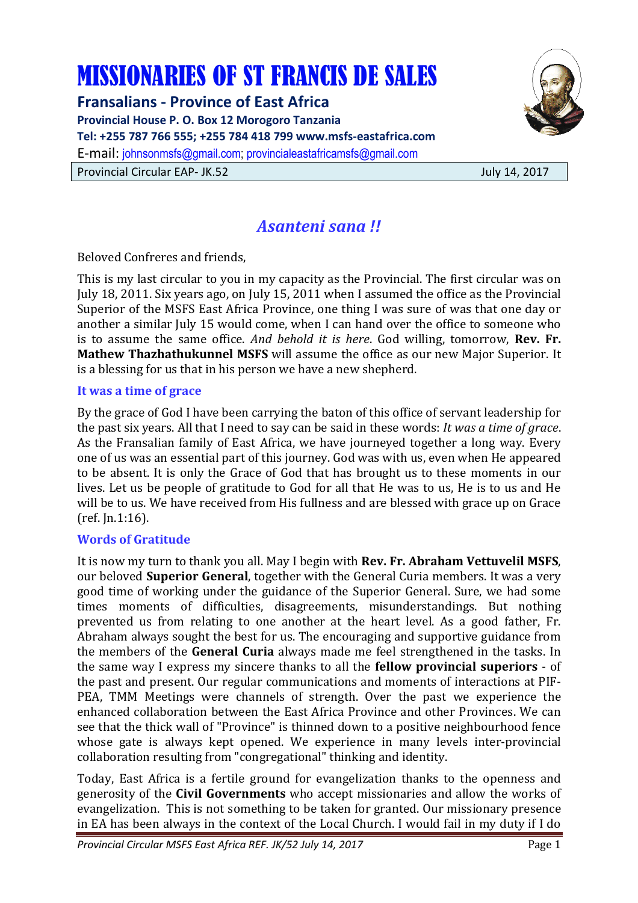# MISSIONARIES OF ST FRANCIS DE SALES

**Fransalians - Province of East Africa Provincial House P. O. Box 12 Morogoro Tanzania Tel: +255 787 766 555; +255 784 418 799 www.msfs-eastafrica.com**  E-mail: johnsonmsfs@gmail.com; provincialeastafricamsfs@gmail.com Provincial Circular EAP- JK.52 July 14, 2017



# *Asanteni sana !!*

Beloved Confreres and friends,

This is my last circular to you in my capacity as the Provincial. The first circular was on July 18, 2011. Six years ago, on July 15, 2011 when I assumed the office as the Provincial Superior of the MSFS East Africa Province, one thing I was sure of was that one day or another a similar July 15 would come, when I can hand over the office to someone who is to assume the same office. *And behold it is here*. God willing, tomorrow, **Rev. Fr. Mathew Thazhathukunnel MSFS** will assume the office as our new Major Superior. It is a blessing for us that in his person we have a new shepherd.

#### **It was a time of grace**

By the grace of God I have been carrying the baton of this office of servant leadership for the past six years. All that I need to say can be said in these words: *It was a time of grace*. As the Fransalian family of East Africa, we have journeyed together a long way. Every one of us was an essential part of this journey. God was with us, even when He appeared to be absent. It is only the Grace of God that has brought us to these moments in our lives. Let us be people of gratitude to God for all that He was to us, He is to us and He will be to us. We have received from His fullness and are blessed with grace up on Grace (ref. Jn.1:16).

# **Words of Gratitude**

It is now my turn to thank you all. May I begin with **Rev. Fr. Abraham Vettuvelil MSFS**, our beloved **Superior General**, together with the General Curia members. It was a very good time of working under the guidance of the Superior General. Sure, we had some times moments of difficulties, disagreements, misunderstandings. But nothing prevented us from relating to one another at the heart level. As a good father, Fr. Abraham always sought the best for us. The encouraging and supportive guidance from the members of the **General Curia** always made me feel strengthened in the tasks. In the same way I express my sincere thanks to all the **fellow provincial superiors** - of the past and present. Our regular communications and moments of interactions at PIF-PEA, TMM Meetings were channels of strength. Over the past we experience the enhanced collaboration between the East Africa Province and other Provinces. We can see that the thick wall of "Province" is thinned down to a positive neighbourhood fence whose gate is always kept opened. We experience in many levels inter-provincial collaboration resulting from "congregational" thinking and identity.

Today, East Africa is a fertile ground for evangelization thanks to the openness and generosity of the **Civil Governments** who accept missionaries and allow the works of evangelization. This is not something to be taken for granted. Our missionary presence in EA has been always in the context of the Local Church. I would fail in my duty if I do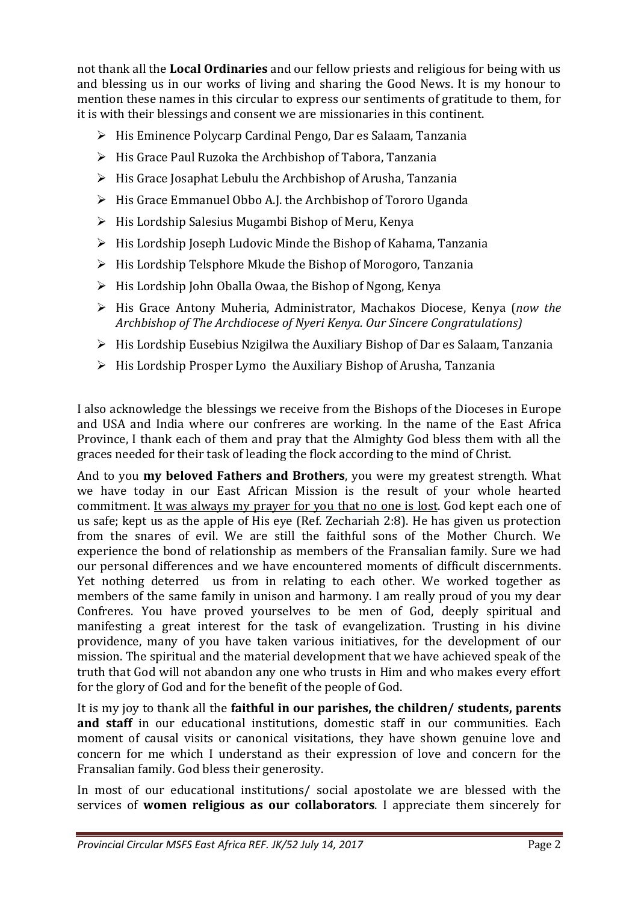not thank all the **Local Ordinaries** and our fellow priests and religious for being with us and blessing us in our works of living and sharing the Good News. It is my honour to mention these names in this circular to express our sentiments of gratitude to them, for it is with their blessings and consent we are missionaries in this continent.

- $\triangleright$  His Eminence Polycarp Cardinal Pengo, Dar es Salaam, Tanzania
- $\triangleright$  His Grace Paul Ruzoka the Archbishop of Tabora, Tanzania
- $\triangleright$  His Grace Josaphat Lebulu the Archbishop of Arusha, Tanzania
- $\triangleright$  His Grace Emmanuel Obbo A.J. the Archbishop of Tororo Uganda
- $\triangleright$  His Lordship Salesius Mugambi Bishop of Meru, Kenya
- $\triangleright$  His Lordship Joseph Ludovic Minde the Bishop of Kahama, Tanzania
- $\triangleright$  His Lordship Telsphore Mkude the Bishop of Morogoro, Tanzania
- $\triangleright$  His Lordship John Oballa Owaa, the Bishop of Ngong, Kenya
- His Grace Antony Muheria, Administrator, Machakos Diocese, Kenya (*now the Archbishop of The Archdiocese of Nyeri Kenya. Our Sincere Congratulations)*
- $\triangleright$  His Lordship Eusebius Nzigilwa the Auxiliary Bishop of Dar es Salaam, Tanzania
- $\triangleright$  His Lordship Prosper Lymo the Auxiliary Bishop of Arusha, Tanzania

I also acknowledge the blessings we receive from the Bishops of the Dioceses in Europe and USA and India where our confreres are working. In the name of the East Africa Province, I thank each of them and pray that the Almighty God bless them with all the graces needed for their task of leading the flock according to the mind of Christ.

And to you **my beloved Fathers and Brothers**, you were my greatest strength. What we have today in our East African Mission is the result of your whole hearted commitment. It was always my prayer for you that no one is lost. God kept each one of us safe; kept us as the apple of His eye (Ref. Zechariah 2:8). He has given us protection from the snares of evil. We are still the faithful sons of the Mother Church. We experience the bond of relationship as members of the Fransalian family. Sure we had our personal differences and we have encountered moments of difficult discernments. Yet nothing deterred us from in relating to each other. We worked together as members of the same family in unison and harmony. I am really proud of you my dear Confreres. You have proved yourselves to be men of God, deeply spiritual and manifesting a great interest for the task of evangelization. Trusting in his divine providence, many of you have taken various initiatives, for the development of our mission. The spiritual and the material development that we have achieved speak of the truth that God will not abandon any one who trusts in Him and who makes every effort for the glory of God and for the benefit of the people of God.

It is my joy to thank all the **faithful in our parishes, the children/ students, parents and staff** in our educational institutions, domestic staff in our communities. Each moment of causal visits or canonical visitations, they have shown genuine love and concern for me which I understand as their expression of love and concern for the Fransalian family. God bless their generosity.

In most of our educational institutions/ social apostolate we are blessed with the services of **women religious as our collaborators**. I appreciate them sincerely for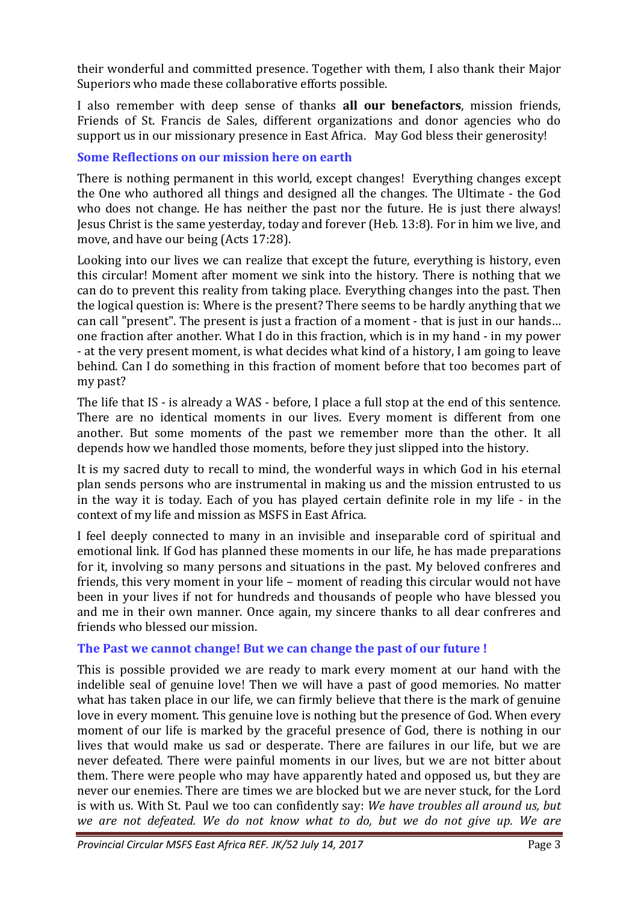their wonderful and committed presence. Together with them, I also thank their Major Superiors who made these collaborative efforts possible.

I also remember with deep sense of thanks **all our benefactors**, mission friends, Friends of St. Francis de Sales, different organizations and donor agencies who do support us in our missionary presence in East Africa. May God bless their generosity!

# **Some Reflections on our mission here on earth**

There is nothing permanent in this world, except changes! Everything changes except the One who authored all things and designed all the changes. The Ultimate - the God who does not change. He has neither the past nor the future. He is just there always! Jesus Christ is the same yesterday, today and forever (Heb. 13:8). For in him we live, and move, and have our being (Acts 17:28).

Looking into our lives we can realize that except the future, everything is history, even this circular! Moment after moment we sink into the history. There is nothing that we can do to prevent this reality from taking place. Everything changes into the past. Then the logical question is: Where is the present? There seems to be hardly anything that we can call "present". The present is just a fraction of a moment - that is just in our hands… one fraction after another. What I do in this fraction, which is in my hand - in my power - at the very present moment, is what decides what kind of a history, I am going to leave behind. Can I do something in this fraction of moment before that too becomes part of my past?

The life that IS - is already a WAS - before, I place a full stop at the end of this sentence. There are no identical moments in our lives. Every moment is different from one another. But some moments of the past we remember more than the other. It all depends how we handled those moments, before they just slipped into the history.

It is my sacred duty to recall to mind, the wonderful ways in which God in his eternal plan sends persons who are instrumental in making us and the mission entrusted to us in the way it is today. Each of you has played certain definite role in my life - in the context of my life and mission as MSFS in East Africa.

I feel deeply connected to many in an invisible and inseparable cord of spiritual and emotional link. If God has planned these moments in our life, he has made preparations for it, involving so many persons and situations in the past. My beloved confreres and friends, this very moment in your life – moment of reading this circular would not have been in your lives if not for hundreds and thousands of people who have blessed you and me in their own manner. Once again, my sincere thanks to all dear confreres and friends who blessed our mission.

# **The Past we cannot change! But we can change the past of our future !**

This is possible provided we are ready to mark every moment at our hand with the indelible seal of genuine love! Then we will have a past of good memories. No matter what has taken place in our life, we can firmly believe that there is the mark of genuine love in every moment. This genuine love is nothing but the presence of God. When every moment of our life is marked by the graceful presence of God, there is nothing in our lives that would make us sad or desperate. There are failures in our life, but we are never defeated. There were painful moments in our lives, but we are not bitter about them. There were people who may have apparently hated and opposed us, but they are never our enemies. There are times we are blocked but we are never stuck, for the Lord is with us. With St. Paul we too can confidently say: *We have troubles all around us, but we are not defeated. We do not know what to do, but we do not give up. We are*